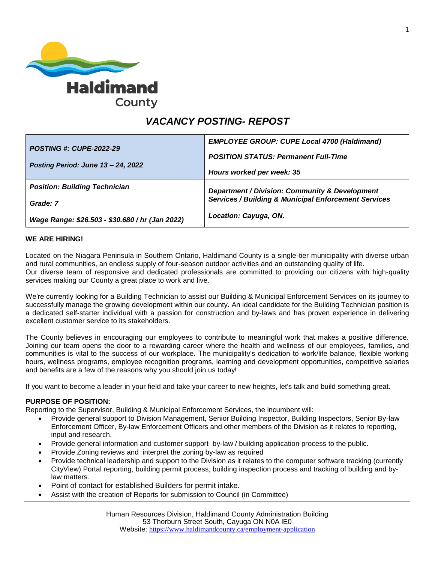

# *VACANCY POSTING- REPOST*

| <b>POSTING #: CUPE-2022-29</b>                  | <b>EMPLOYEE GROUP: CUPE Local 4700 (Haldimand)</b>              |
|-------------------------------------------------|-----------------------------------------------------------------|
|                                                 | <b>POSITION STATUS: Permanent Full-Time</b>                     |
| Posting Period: June 13 - 24, 2022              | Hours worked per week: 35                                       |
| <b>Position: Building Technician</b>            | Department / Division: Community & Development                  |
| Grade: 7                                        | <b>Services / Building &amp; Municipal Enforcement Services</b> |
| Wage Range: \$26.503 - \$30.680 / hr (Jan 2022) | Location: Cayuga, ON.                                           |

#### **WE ARE HIRING!**

Located on the Niagara Peninsula in Southern Ontario, Haldimand County is a single-tier municipality with diverse urban and rural communities, an endless supply of four-season outdoor activities and an outstanding quality of life. Our diverse team of responsive and dedicated professionals are committed to providing our citizens with high-quality services making our County a great place to work and live.

We're currently looking for a Building Technician to assist our Building & Municipal Enforcement Services on its journey to successfully manage the growing development within our county. An ideal candidate for the Building Technician position is a dedicated self-starter individual with a passion for construction and by-laws and has proven experience in delivering excellent customer service to its stakeholders.

The County believes in encouraging our employees to contribute to meaningful work that makes a positive difference. Joining our team opens the door to a rewarding career where the health and wellness of our employees, families, and communities is vital to the success of our workplace. The municipality's dedication to work/life balance, flexible working hours, wellness programs, employee recognition programs, learning and development opportunities, competitive salaries and benefits are a few of the reasons why you should join us today!

If you want to become a leader in your field and take your career to new heights, let's talk and build something great.

#### **PURPOSE OF POSITION:**

Reporting to the Supervisor, Building & Municipal Enforcement Services, the incumbent will:

- Provide general support to Division Management, Senior Building Inspector, Building Inspectors, Senior By-law Enforcement Officer, By-law Enforcement Officers and other members of the Division as it relates to reporting, input and research.
- Provide general information and customer support by-law / building application process to the public.
- Provide Zoning reviews and interpret the zoning by-law as required
- Provide technical leadership and support to the Division as it relates to the computer software tracking (currently CityView) Portal reporting, building permit process, building inspection process and tracking of building and bylaw matters.
- Point of contact for established Builders for permit intake.
- Assist with the creation of Reports for submission to Council (in Committee)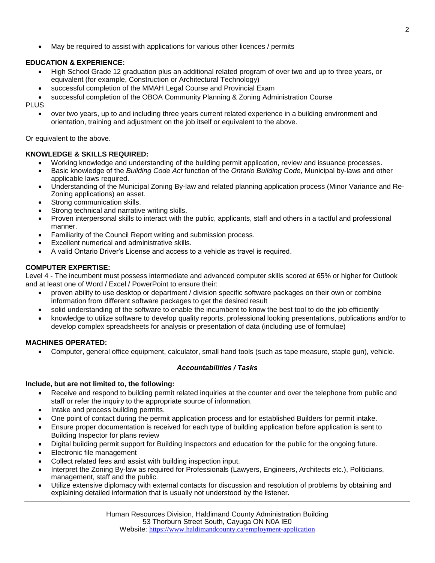May be required to assist with applications for various other licences / permits

## **EDUCATION & EXPERIENCE:**

- High School Grade 12 graduation plus an additional related program of over two and up to three years, or equivalent (for example, Construction or Architectural Technology)
- successful completion of the MMAH Legal Course and Provincial Exam
- successful completion of the OBOA Community Planning & Zoning Administration Course

PLUS

 over two years, up to and including three years current related experience in a building environment and orientation, training and adjustment on the job itself or equivalent to the above.

Or equivalent to the above.

## **KNOWLEDGE & SKILLS REQUIRED:**

- Working knowledge and understanding of the building permit application, review and issuance processes.
- Basic knowledge of the *Building Code Act* function of the *Ontario Building Code*, Municipal by-laws and other applicable laws required.
- Understanding of the Municipal Zoning By-law and related planning application process (Minor Variance and Re-Zoning applications) an asset.
- Strong communication skills.
- Strong technical and narrative writing skills.
- Proven interpersonal skills to interact with the public, applicants, staff and others in a tactful and professional manner.
- Familiarity of the Council Report writing and submission process.
- Excellent numerical and administrative skills.
- A valid Ontario Driver's License and access to a vehicle as travel is required.

## **COMPUTER EXPERTISE:**

Level 4 - The incumbent must possess intermediate and advanced computer skills scored at 65% or higher for Outlook and at least one of Word / Excel / PowerPoint to ensure their:

- proven ability to use desktop or department / division specific software packages on their own or combine information from different software packages to get the desired result
- solid understanding of the software to enable the incumbent to know the best tool to do the job efficiently
- knowledge to utilize software to develop quality reports, professional looking presentations, publications and/or to develop complex spreadsheets for analysis or presentation of data (including use of formulae)

## **MACHINES OPERATED:**

Computer, general office equipment, calculator, small hand tools (such as tape measure, staple gun), vehicle.

## *Accountabilities / Tasks*

## **Include, but are not limited to, the following:**

- Receive and respond to building permit related inquiries at the counter and over the telephone from public and staff or refer the inquiry to the appropriate source of information.
- Intake and process building permits.
- One point of contact during the permit application process and for established Builders for permit intake.
- Ensure proper documentation is received for each type of building application before application is sent to Building Inspector for plans review
- Digital building permit support for Building Inspectors and education for the public for the ongoing future.
- Electronic file management
- Collect related fees and assist with building inspection input.
- Interpret the Zoning By-law as required for Professionals (Lawyers, Engineers, Architects etc.), Politicians, management, staff and the public.
- Utilize extensive diplomacy with external contacts for discussion and resolution of problems by obtaining and explaining detailed information that is usually not understood by the listener.